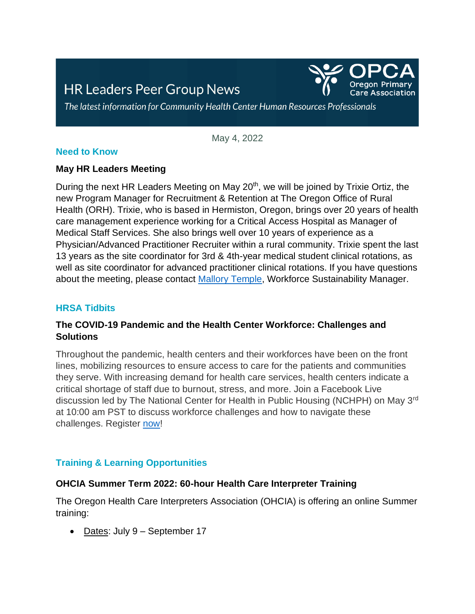# **HR Leaders Peer Group News**



The latest information for Community Health Center Human Resources Professionals

May 4, 2022

#### **Need to Know**

#### **May HR Leaders Meeting**

During the next HR Leaders Meeting on May 20<sup>th</sup>, we will be joined by Trixie Ortiz, the new Program Manager for Recruitment & Retention at The Oregon Office of Rural Health (ORH). Trixie, who is based in Hermiston, Oregon, brings over 20 years of health care management experience working for a Critical Access Hospital as Manager of Medical Staff Services. She also brings well over 10 years of experience as a Physician/Advanced Practitioner Recruiter within a rural community. Trixie spent the last 13 years as the site coordinator for 3rd & 4th-year medical student clinical rotations, as well as site coordinator for advanced practitioner clinical rotations. If you have questions about the meeting, please contact [Mallory Temple,](mailto:mtemple@orpca.org) Workforce Sustainability Manager.

#### **HRSA Tidbits**

## **The COVID-19 Pandemic and the Health Center Workforce: Challenges and Solutions**

Throughout the pandemic, health centers and their workforces have been on the front lines, mobilizing resources to ensure access to care for the patients and communities they serve. With increasing demand for health care services, health centers indicate a critical shortage of staff due to burnout, stress, and more. Join a Facebook Live discussion led by The National Center for Health in Public Housing (NCHPH) on May 3rd at 10:00 am PST to discuss workforce challenges and how to navigate these challenges. Register [now!](https://lnks.gd/l/eyJhbGciOiJIUzI1NiJ9.eyJidWxsZXRpbl9saW5rX2lkIjoxMjMsInVyaSI6ImJwMjpjbGljayIsImJ1bGxldGluX2lkIjoiMjAyMjA0MjYuNTY5OTAxMTEiLCJ1cmwiOiJodHRwczovL3VzMDZ3ZWIuem9vbS51cy93ZWJpbmFyL3JlZ2lzdGVyL1dOX1FOemtVMG5XVFVlYWJJMjR6emIyYncifQ.uXHyTopvSYeeqJJ7ZYajgXTXnMQp3uqwmiWb1ZA-PlY/s/1433784775/br/130361933978-l)

## **Training & Learning Opportunities**

#### **OHCIA Summer Term 2022: 60-hour Health Care Interpreter Training**

The Oregon Health Care Interpreters Association (OHCIA) is offering an online Summer training:

• Dates: July 9 – September 17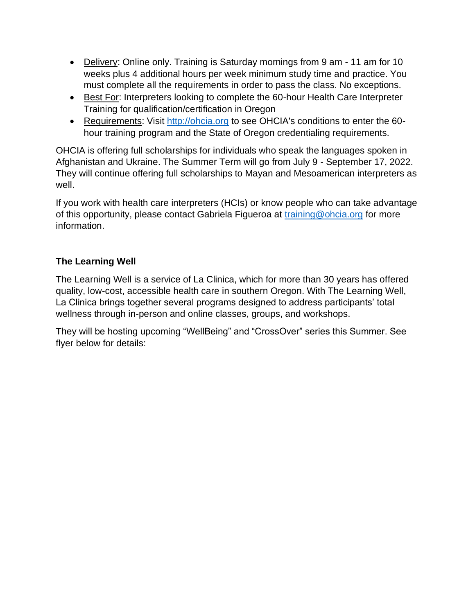- Delivery: Online only. Training is Saturday mornings from 9 am 11 am for 10 weeks plus 4 additional hours per week minimum study time and practice. You must complete all the requirements in order to pass the class. No exceptions.
- Best For: Interpreters looking to complete the 60-hour Health Care Interpreter Training for qualification/certification in Oregon
- Requirements: Visit [http://ohcia.org](http://ohcia.org/) to see OHCIA's conditions to enter the 60 hour training program and the State of Oregon credentialing requirements.

OHCIA is offering full scholarships for individuals who speak the languages spoken in Afghanistan and Ukraine. The Summer Term will go from July 9 - September 17, 2022. They will continue offering full scholarships to Mayan and Mesoamerican interpreters as well.

If you work with health care interpreters (HCIs) or know people who can take advantage of this opportunity, please contact Gabriela Figueroa at [training@ohcia.org](mailto:training@ohcia.org) for more information.

## **The Learning Well**

The Learning Well is a service of La Clinica, which for more than 30 years has offered quality, low-cost, accessible health care in southern Oregon. With The Learning Well, La Clinica brings together several programs designed to address participants' total wellness through in-person and online classes, groups, and workshops.

They will be hosting upcoming "WellBeing" and "CrossOver" series this Summer. See flyer below for details: